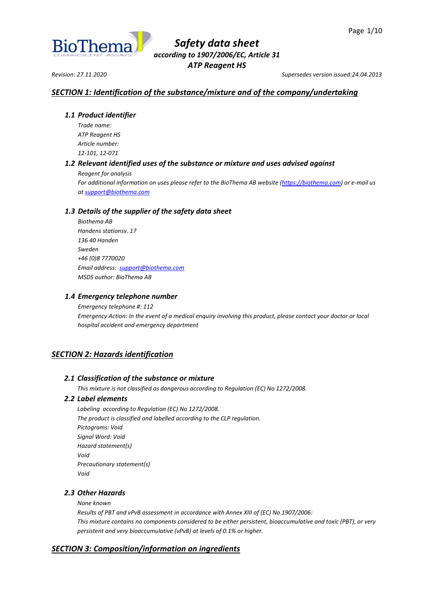

*Revision: 27.11.2020 Supersedes version issued:24.04.2013*

# *SECTION 1: Identification of the substance/mixture and of the company/undertaking*

### *1.1 Product identifier*

*Trade name: ATP Reagent HS Article number: 12-101, 12-071*

# *1.2 Relevant identified uses of the substance or mixture and uses advised against*

*Reagent for analysis*

*For additional information on uses please refer to the BioThema AB website [\(https://biothema.com\)](https://biothema.com/) or e-mail us a[t support@biothema.com](mailto:support@biothema.com)*

# *1.3 Details of the supplier of the safety data sheet*

*Biothema AB Handens stationsv. 17 136 40 Handen Sweden +46 (0)8 7770020 Email address: [support@biothema.com](mailto:support@biothema.com) MSDS author: BioThema AB*

### *1.4 Emergency telephone number*

*Emergency telephone #: 112 Emergency Action: In the event of a medical enquiry involving this product, please contact your doctor or local hospital accident and emergency department*

# *SECTION 2: Hazards identification*

### *2.1 Classification of the substance or mixture*

*This mixture is not classified as dangerous according to Regulation (EC) No 1272/2008.*

### *2.2 Label elements*

*Labeling according to Regulation (EC) No 1272/2008. The product is classified and labelled according to the CLP regulation. Pictograms: Void Signal Word: Void Hazard statement(s) Void Precautionary statement(s) Void*

# *2.3 Other Hazards*

### *None known*

*Results of PBT and vPvB assessment in accordance with Annex XIII of (EC) No 1907/2006: This mixture contains no components considered to be either persistent, bioaccumulative and toxic (PBT), or very persistent and very bioaccumulative (vPvB) at levels of 0.1% or higher.*

# *SECTION 3: Composition/information on ingredients*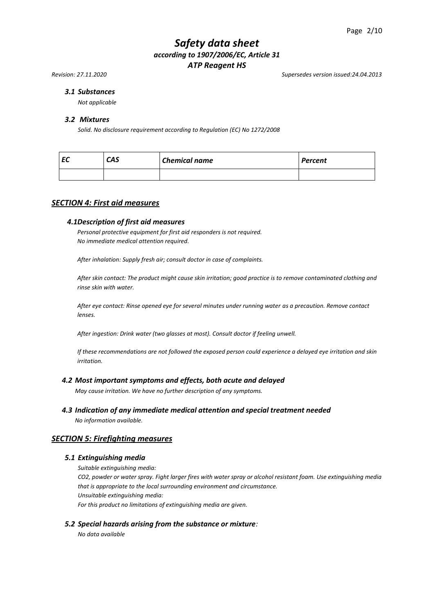*Revision: 27.11.2020 Supersedes version issued:24.04.2013*

### *3.1 Substances*

*Not applicable*

#### *3.2 Mixtures*

*Solid. No disclosure requirement according to Regulation (EC) No 1272/2008*

| c | CAS | <b>Chemical name</b> | Percent |
|---|-----|----------------------|---------|
|   |     |                      |         |

### *SECTION 4: First aid measures*

#### *4.1Description of first aid measures*

*Personal protective equipment for first aid responders is not required. No immediate medical attention required.*

*After inhalation: Supply fresh air; consult doctor in case of complaints.*

*After skin contact: The product might cause skin irritation; good practice is to remove contaminated clothing and rinse skin with water.*

*After eye contact: Rinse opened eye for several minutes under running water as a precaution. Remove contact lenses.*

*After ingestion: Drink water (two glasses at most). Consult doctor if feeling unwell.*

*If these recommendations are not followed the exposed person could experience a delayed eye irritation and skin irritation.*

#### *4.2 Most important symptoms and effects, both acute and delayed*

*May cause irritation. We have no further description of any symptoms.*

*4.3 Indication of any immediate medical attention and special treatment needed*

*No information available.*

#### *SECTION 5: Firefighting measures*

#### *5.1 Extinguishing media*

*Suitable extinguishing media:*

*CO2, powder or water spray. Fight larger fires with water spray or alcohol resistant foam. Use extinguishing media that is appropriate to the local surrounding environment and circumstance. Unsuitable extinguishing media:*

*For this product no limitations of extinguishing media are given.*

#### *5.2 Special hazards arising from the substance or mixture:*

*No data available*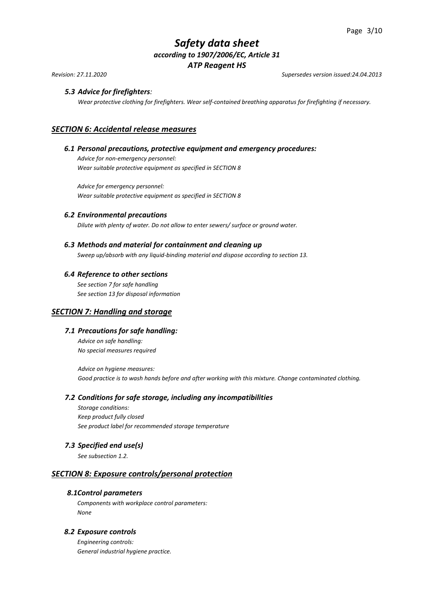*Revision: 27.11.2020 Supersedes version issued:24.04.2013*

# *5.3 Advice for firefighters:*

*Wear protective clothing for firefighters. Wear self-contained breathing apparatus for firefighting if necessary.*

# *SECTION 6: Accidental release measures*

### *6.1 Personal precautions, protective equipment and emergency procedures:*

*Advice for non-emergency personnel: Wear suitable protective equipment as specified in SECTION 8*

*Advice for emergency personnel: Wear suitable protective equipment as specified in SECTION 8* 

#### *6.2 Environmental precautions*

*Dilute with plenty of water. Do not allow to enter sewers/ surface or ground water.*

#### *6.3 Methods and material for containment and cleaning up*

*Sweep up/absorb with any liquid-binding material and dispose according to section 13.*

#### *6.4 Reference to other sections*

*See section 7 for safe handling See section 13 for disposal information*

### *SECTION 7: Handling and storage*

### *7.1 Precautions for safe handling:*

*Advice on safe handling: No special measures required*

*Advice on hygiene measures: Good practice is to wash hands before and after working with this mixture. Change contaminated clothing.*

#### *7.2 Conditions for safe storage, including any incompatibilities*

*Storage conditions: Keep product fully closed See product label for recommended storage temperature* 

### *7.3 Specified end use(s)*

*See subsection 1.2.*

# *SECTION 8: Exposure controls/personal protection*

#### *8.1Control parameters*

*Components with workplace control parameters: None*

# *8.2 Exposure controls*

*Engineering controls: General industrial hygiene practice.*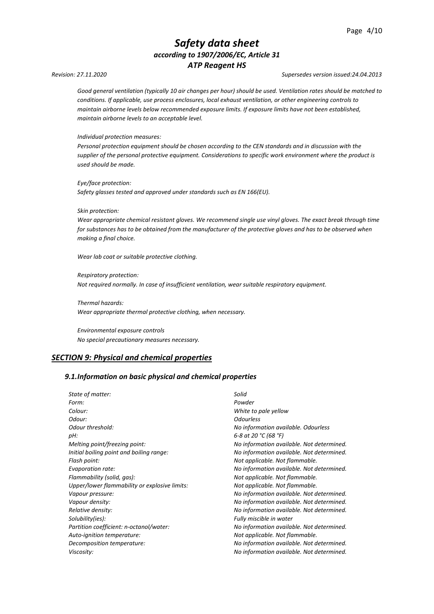#### *Revision: 27.11.2020 Supersedes version issued:24.04.2013*

*Good general ventilation (typically 10 air changes per hour) should be used. Ventilation rates should be matched to conditions. If applicable, use process enclosures, local exhaust ventilation, or other engineering controls to maintain airborne levels below recommended exposure limits. If exposure limits have not been established, maintain airborne levels to an acceptable level.*

*Individual protection measures:*

*Personal protection equipment should be chosen according to the CEN standards and in discussion with the supplier of the personal protective equipment. Considerations to specific work environment where the product is used should be made.*

*Eye/face protection: Safety glasses tested and approved under standards such as EN 166(EU).*

#### *Skin protection:*

*Wear appropriate chemical resistant gloves. We recommend single use vinyl gloves. The exact break through time for substances has to be obtained from the manufacturer of the protective gloves and has to be observed when making a final choice.*

*Wear lab coat or suitable protective clothing.*

*Respiratory protection: Not required normally. In case of insufficient ventilation, wear suitable respiratory equipment.*

*Thermal hazards: Wear appropriate thermal protective clothing, when necessary.*

*Environmental exposure controls No special precautionary measures necessary.*

### *SECTION 9: Physical and chemical properties*

#### *9.1.Information on basic physical and chemical properties*

| State of matter:                              | Solid                                     |  |
|-----------------------------------------------|-------------------------------------------|--|
| Form:                                         | Powder                                    |  |
| Colour:                                       | White to pale yellow                      |  |
| Odour:                                        | <b>Odourless</b>                          |  |
| Odour threshold:                              | No information available. Odourless       |  |
| pH:                                           | 6-8 at 20 °C (68 °F)                      |  |
| Melting point/freezing point:                 | No information available. Not determined. |  |
| Initial boiling point and boiling range:      | No information available. Not determined. |  |
| Flash point:                                  | Not applicable. Not flammable.            |  |
| Evaporation rate:                             | No information available. Not determined. |  |
| Flammability (solid, gas):                    | Not applicable. Not flammable.            |  |
| Upper/lower flammability or explosive limits: | Not applicable. Not flammable.            |  |
| Vapour pressure:                              | No information available. Not determined. |  |
| Vapour density:                               | No information available. Not determined. |  |
| Relative density:                             | No information available. Not determined. |  |
| Solubility(ies):                              | Fully miscible in water                   |  |
| Partition coefficient: n-octanol/water:       | No information available. Not determined. |  |
| Auto-ignition temperature:                    | Not applicable. Not flammable.            |  |
| Decomposition temperature:                    | No information available. Not determined. |  |
| Viscosity:                                    | No information available. Not determined. |  |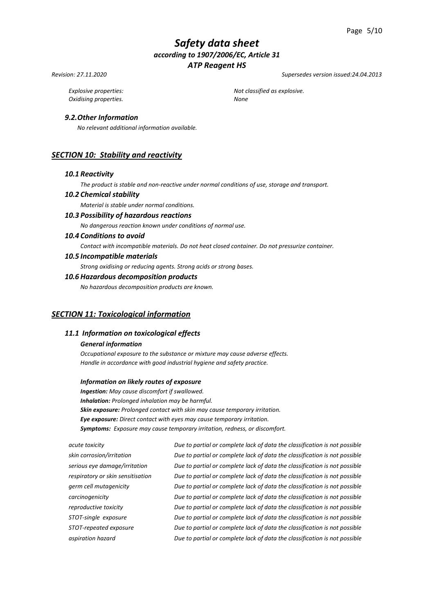#### *Revision: 27.11.2020 Supersedes version issued:24.04.2013*

*Oxidising properties. None*

*Explosive properties: Not classified as explosive.*

### *9.2.Other Information*

*No relevant additional information available.*

# *SECTION 10: Stability and reactivity*

#### *10.1 Reactivity*

*The product is stable and non-reactive under normal conditions of use, storage and transport.*

#### *10.2 Chemical stability*

*Material is stable under normal conditions.*

# *10.3 Possibility of hazardous reactions*

*No dangerous reaction known under conditions of normal use.*

#### *10.4 Conditions to avoid*

*Contact with incompatible materials. Do not heat closed container. Do not pressurize container.*

*10.5 Incompatible materials*

*Strong oxidising or reducing agents. Strong acids or strong bases.*

#### *10.6 Hazardous decomposition products*

*No hazardous decomposition products are known.*

#### *SECTION 11: Toxicological information*

### *11.1 Information on toxicological effects*

#### *General information*

*Occupational exposure to the substance or mixture may cause adverse effects. Handle in accordance with good industrial hygiene and safety practice.*

#### *Information on likely routes of exposure*

*Ingestion: May cause discomfort if swallowed. Inhalation: Prolonged inhalation may be harmful. Skin exposure: Prolonged contact with skin may cause temporary irritation. Eye exposure: Direct contact with eyes may cause temporary irritation. Symptoms: Exposure may cause temporary irritation, redness, or discomfort.*

*acute toxicity Due to partial or complete lack of data the classification is not possible skin corrosion/irritation Due to partial or complete lack of data the classification is not possible serious eye damage/irritation Due to partial or complete lack of data the classification is not possible respiratory or skin sensitisation Due to partial or complete lack of data the classification is not possible germ cell mutagenicity Due to partial or complete lack of data the classification is not possible carcinogenicity Due to partial or complete lack of data the classification is not possible reproductive toxicity Due to partial or complete lack of data the classification is not possible STOT-single exposure Due to partial or complete lack of data the classification is not possible STOT-repeated exposure Due to partial or complete lack of data the classification is not possible aspiration hazard Due to partial or complete lack of data the classification is not possible*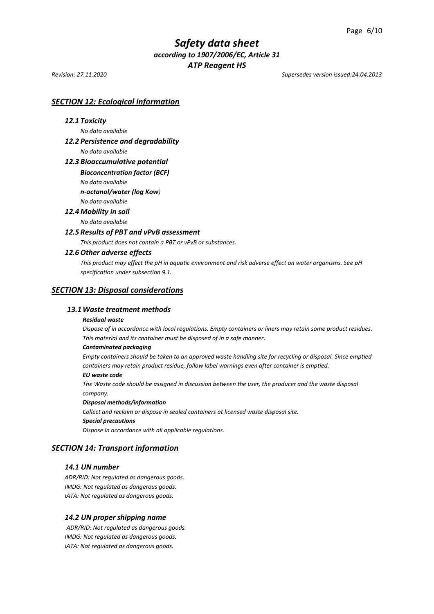*Revision: 27.11.2020 Supersedes version issued:24.04.2013*

# *SECTION 12: Ecological information*

#### *12.1 Toxicity*

*No data available* 

# *12.2 Persistence and degradability*

*No data available*

#### *12.3 Bioaccumulative potential*

*Bioconcentration factor (BCF)*

*No data available* 

*n-octanol/water (log Kow)*

*No data available*

#### *12.4 Mobility in soil*

*No data available* 

# *12.5 Results of PBT and vPvB assessment*

*This product does not contain a PBT or vPvB or substances.*

### *12.6 Other adverse effects*

*This product may effect the pH in aquatic environment and risk adverse effect on water organisms. See pH specification under subsection 9.1.*

#### *SECTION 13: Disposal considerations*

### *13.1Waste treatment methods*

#### *Residual waste*

*Dispose of in accordance with local regulations. Empty containers or liners may retain some product residues. This material and its container must be disposed of in a safe manner.*

#### *Contaminated packaging*

*Empty containers should be taken to an approved waste handling site for recycling or disposal. Since emptied containers may retain product residue, follow label warnings even after container is emptied.*

#### *EU waste code*

*The Waste code should be assigned in discussion between the user, the producer and the waste disposal company.*

#### *Disposal methods/information*

*Collect and reclaim or dispose in sealed containers at licensed waste disposal site. Special precautions*

*Dispose in accordance with all applicable regulations.*

### *SECTION 14: Transport information*

#### *14.1 UN number*

*ADR/RID: Not regulated as dangerous goods. IMDG: Not regulated as dangerous goods. IATA: Not regulated as dangerous goods.*

#### *14.2 UN proper shipping name*

*ADR/RID: Not regulated as dangerous goods. IMDG: Not regulated as dangerous goods. IATA: Not regulated as dangerous goods.*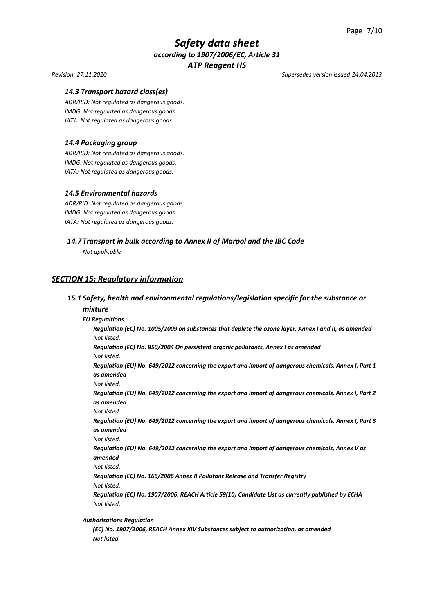#### *Revision: 27.11.2020 Supersedes version issued:24.04.2013*

#### *14.3 Transport hazard class(es)*

*ADR/RID: Not regulated as dangerous goods. IMDG: Not regulated as dangerous goods. IATA: Not regulated as dangerous goods.*

#### *14.4 Packaging group*

*ADR/RID: Not regulated as dangerous goods. IMDG: Not regulated as dangerous goods. IATA: Not regulated as dangerous goods.*

#### *14.5 Environmental hazards*

*ADR/RID: Not regulated as dangerous goods. IMDG: Not regulated as dangerous goods. IATA: Not regulated as dangerous goods.*

# *14.7 Transport in bulk according to Annex II of Marpol and the IBC Code*

*Not applicable*

# *SECTION 15: Regulatory information*

# *15.1 Safety, health and environmental regulations/legislation specific for the substance or mixture*

#### *EU Regualtions*

*Regulation (EC) No. 1005/2009 on substances that deplete the ozone layer, Annex I and II, as amended Not listed.*

*Regulation (EC) No. 850/2004 On persistent organic pollutants, Annex I as amended Not listed.*

*Regulation (EU) No. 649/2012 concerning the export and import of dangerous chemicals, Annex I, Part 1 as amended* 

*Not listed.*

*Regulation (EU) No. 649/2012 concerning the export and import of dangerous chemicals, Annex I, Part 2 as amended*

*Not listed.*

*Regulation (EU) No. 649/2012 concerning the export and import of dangerous chemicals, Annex I, Part 3 as amended*

*Not listed.*

*Regulation (EU) No. 649/2012 concerning the export and import of dangerous chemicals, Annex V as amended*

*Not listed.*

*Regulation (EC) No. 166/2006 Annex II Pollutant Release and Transfer Registry* 

*Not listed.*

*Regulation (EC) No. 1907/2006, REACH Article 59(10) Candidate List as currently published by ECHA Not listed.*

#### *Authorisations Regulation*

*(EC) No. 1907/2006, REACH Annex XIV Substances subject to authorization, as amended Not listed.*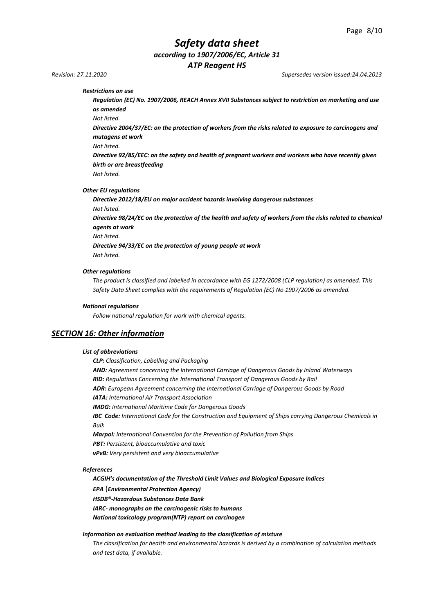*Revision: 27.11.2020 Supersedes version issued:24.04.2013*

*Restrictions on use* 

*Regulation (EC) No. 1907/2006, REACH Annex XVII Substances subject to restriction on marketing and use as amended*

*Not listed.*

*Directive 2004/37/EC: on the protection of workers from the risks related to exposure to carcinogens and mutagens at work*

*Not listed.*

*Directive 92/85/EEC: on the safety and health of pregnant workers and workers who have recently given birth or are breastfeeding*

*Not listed.*

*Other EU regulations*

*Directive 2012/18/EU on major accident hazards involving dangerous substances Not listed.* 

*Directive 98/24/EC on the protection of the health and safety of workers from the risks related to chemical agents at work* 

*Not listed.*

*Directive 94/33/EC on the protection of young people at work Not listed.*

*Other regulations*

*The product is classified and labelled in accordance with EG 1272/2008 (CLP regulation) as amended. This Safety Data Sheet complies with the requirements of Regulation (EC) No 1907/2006 as amended.*

#### *National regulations*

*Follow national regulation for work with chemical agents.*

#### *SECTION 16: Other information*

#### *List of abbreviations*

*CLP: Classification, Labelling and Packaging AND: Agreement concerning the International Carriage of Dangerous Goods by Inland Waterways RID: Regulations Concerning the International Transport of Dangerous Goods by Rail ADR: European Agreement concerning the International Carriage of Dangerous Goods by Road IATA: International Air Transport Association IMDG: International Maritime Code for Dangerous Goods IBC Code: International Code for the Construction and Equipment of Ships carrying Dangerous Chemicals in Bulk Marpol: International Convention for the Prevention of Pollution from Ships PBT: Persistent, bioaccumulative and toxic vPvB: Very persistent and very bioaccumulative*

#### *References*

*ACGIH's documentation of the Threshold Limit Values and Biological Exposure Indices* 

*EPA* (*Environmental Protection Agency)*

*HSDB®-Hazardous Substances Data Bank*

*IARC- monographs on the carcinogenic risks to humans*

*National toxicology program(NTP) report on carcinogen*

#### *Information on evaluation method leading to the classification of mixture*

*The classification for health and environmental hazards is derived by a combination of calculation methods and test data, if available.*